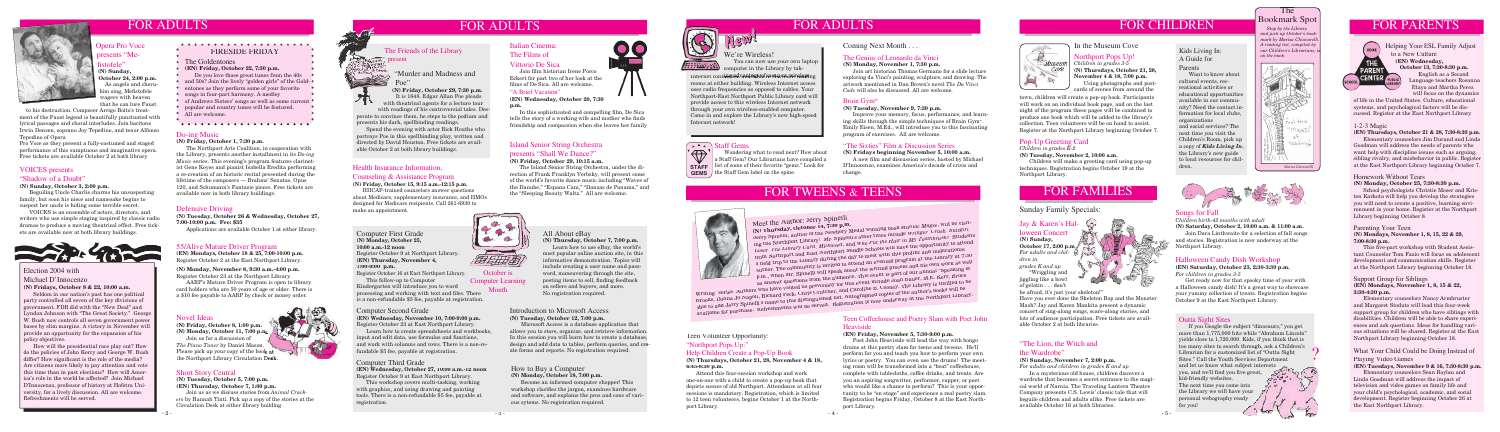

FOR ADULTS FOR ADULTS

### Health Insurance Information,

### Counseling & Assistance Program

### **(N) Friday, October 15, 9:15 a.m.-12:15 p.m.**

### The Bookmark Spot

HIICAP-trained counselors answer questions about Medicare, supplementary insurance, and HMOs designed for Medicare recipients. Call 261-6930 to make an appointment.





## FOR CHILDREN



 *Stop by the Library and pick up October's bookmark by Marisa Chiovarelli. A reading list, compiled by our Children's Librarians, is on the back.*



*Marisa Chiovarelli*

### Novel Ideas

**(N) Friday, October 8, 1:00 p.m. (N) Monday, October 11, 7:00 p.m.** Join us for a discussion of *The Piano Tuner* by Daniel Mason.

Please pick up your copy of the book at the Northport Library Circulation Desk.

Italian Cinema: The Films of Vittorio De Sica The Friends of the Library Italian Cinema:<br>The Films of The Films of

Join film historian Irene Porco Eckert for part two of her look at the films of De Sica. All are welcome.

### Introduction to Microsoft Access **(N) Tuesday, October 12, 7:00 p.m.**

In this sophisticated and compelling film, De Sica tells the story of a working wife and mother who finds friendship and compassion when she leaves her family

 Microsoft Access is a database application that allows you to store, organize, and retrieve information. In this session you will learn how to create a database design and add data to tables, perform queries, and create forms and reports. No registration required.

### VOICES presents "Shadow of a Doubt"

### **(N) Sunday, October 3, 2:00 p.m.**

 Beguiling Uncle Charlie charms his unsuspecting family, but soon his niece and namesake begins to suspect her uncle is hiding some terrible secret.

 VOICES is an ensemble of actors, directors, and writers who use simple staging inspired by classic radio dramas to produce a moving theatrical effect. Free tickets are available now at both library buildings.



### "A Brief Vacation"

**(EN) Wednesday, October 20, 7:30 p.m.**

### Short Story Central

**(N) Tuesday, October 5, 7:00 p.m. (EN) Thursday, October 7, 1:00 p.m.**

Join us as we discuss stories from *Animal Crackers* by Hannah Tinti. Pick up a copy of the stories at the Circulation Desk at either library building.

### Defensive Driving

**(N) Tuesday, October 26 & Wednesday, October 27, 7:00-10:00 p.m. Fee: \$35**

### Songs for Fall

*Children birth-42 months with adult* **(N) Saturday, October 2, 10:00 a.m. & 11:00 a.m.**

 Join Dara Linthwaite for a selection of fall songs and stories. Registration is now underway at the Northport Library.

### Do-ing Music

**(N) Friday, October 1, 7:30 p.m.**

 The Northport Arts Coalition, in cooperation with the Library, presents another installment in its *Do-ing Music* series. This evening's program features clarinetist Gene Keyes and pianist Isabella Eredita performing a re-creation of an historic recital presented during the lifetime of the composers — Brahms' Sonatas, Opus 120, and Schumann's Fantasie pieces. Free tickets are available now in both library buildings.

### Computer Third Grade

**(EN) Wednesday, October 27, 10:00 a.m.-12 noon** Register October 9 at East Northport Library.

Pro Voce as they present a fully-costumed and staged performance of this sumptuous and imaginative opera. Free tickets are available October 2 at both library

> This workshop covers multi-tasking, working with graphics, and using drawing and painting tools. There is a non-refundable \$5 fee, payable at registration.

Computer First Grade **(N) Monday, October 25, 10:00 a.m.-12 noon**

Register October 9 at Northport Library. **(EN) Thursday, November 4,** 

**7:00-9:00 p.m.** Register October 16 at East Northport Library. This follow-up to Computer

 Seldom in our nation's past has one political party controlled all seven of the key divisions of government. FDR did with the "New Deal" and Lyndon Johnson with "The Great Society." George W. Bush now controls all seven government power bases by slim margins. A victory in November will provide an opportunity for the expansion of his policy objectives.

### How to Buy a Computer **(N) Monday, October 18, 7:00 p.m.**

 Become an informed computer shopper! This workshop clarifies the jargon, examines hardware and software, and explains the pros and cons of various sytems. No registration required.



### 55/Alive Mature Driver Program

**(EN) Mondays, October 18 & 25, 7:00-10:00 p.m.** Register October 2 at the East Northport Library.

**(N) Monday, November 8, 9:30 a.m.-4:00 p.m.**



 AARP's Mature Driver Program is open to library card holders who are 50 years of age or older. There is a \$10 fee payable to AARP by check or money order.

- popular and country tunes will be featured.
- All are welcome.

Language teachers Rosanna Etayo and Martha Perez will focus on the dynamics

 If you Google the subject "dinosaurs," you get more than 1,775,000 hits while "Abraham Lincoln" yields close to 1,720,000. Kids, if you think that is too many sites to search through, ask a Children's ? Librarian for a customized list of "Outta Sight Sites." Call the Youth Services Department and let us know what subject interests you, and we'll find you five great,  $\sigma_{\alpha}^{\alpha} \sigma_{\alpha}^{\alpha}$ kid-friendly websites. The next time you come into the Library we will have your personal webography ready for you! **THEY** 

of life in the United States. Culture, educational systems, and psychological factors will be discussed. Register at the East Northport Library

### 1-2-3 Magic

### **(EN) Thursdays, October 21 & 28, 7:30-8:30 p.m.**

 Elementary counselors Jim Durand and Linda Goodman will address the needs of parents who want help with discipline issues such as arguing, sibling rivalry, and misbehavior in public. Register at the East Northport Library beginning October 7.

### Homework Without Tears

### **(N) Monday, October 25, 7:30-8:30 p.m.**

 School psychologists Christie Moser and Kristen Karkota will help you develop the strategies you will need to create a positive, learning environment in your home. Register at the Northport Library beginning October 8.

Wondering what to read next? How about a Staff Gem? Our Librarians have compiled a **STAFF** list of some of their favorite "gems." Look for **GEMS** the Staff Gem label on the spine.

### Support Group for Siblings

**(EN) Mondays, November 1, 8, 15 & 22, 3:30-4:30 p.m.**

 Elementary counselors Nancy Armbruster and Margaret Stoduto will lead this four-week support group for children who have siblings with disabilities. Children will be able to share experiences and ask questions. Ideas for handling various situations will be shared. Register at the East Northport Library beginning October 18.

### $We're\tWe're\tYou can now usecomputer in the Libr$  You can now use your own laptop computer in the Library by tak-

### What Your Child Could be Doing Instead of Playing Video Games

**(EN) Tuesdays, November 9 & 16, 7:30-8:30 p.m.**

 Elementary counselors Sean Boylan and Linda Goodman will address the impact of television and video games on family life and your child's psychological, academic, and social development. Register beginning October 26 at the East Northport Library.

### "Murder and Madness and Poe"

A new film and discussion series, hosted by Michael D'Innocenzo, examines America's decade of crisis and change.

## FOR TWEENS & TEENS

**(N) Friday, October 29, 7:30 p.m.** It is 1848. Edgar Allan Poe pleads with theatrical agents for a lecture tour

with readings of his controversial tales. Desperate to convince them, he steps to the podium and presents his dark, spellbinding readings.

> This five-part workshop with Student Assistant Counselor Tom Fazio will focus on adolescent development and communication skills. Register at the Northport Library beginning October 18.

 Spend the evening with actor Rick Heuthe who portrays Poe in this spellbinding play, written and directed by David Houston. Free tickets are available October 2 at both library buildings.

### The Genius of Leonardo da Vinci

### **(N) Monday, November 1, 7:30 p.m.**

Internet connet advantage of our new wireless ne rooms at either building. Wireless Internet access uses radio frequencies as opposed to cables. Your Northport-East Northport Public Library card will provide access to this wireless Internet network through your own wireless-enabled computer. Come in and explore the Library's new high-speed Internet network!

### $\left\lceil \begin{array}{cc} \bullet & \bullet \\ \bullet & \bullet \end{array} \right\rceil$  Staff Gems

Join art historian Thomas Germano for a slide lecture exploring da Vinci's painting, sculpture, and drawing. The artwork mentioned in Dan Brown's novel *The Da Vinci Code* will also be discussed. All are welcome.

Kindergarten will introduce you to word processing and working with text and files. There is a non-refundable \$5 fee, payable at registration. Computer Learning Month

### Opera Pro Voce presents "Mefistofele" **(N) Sunday, October 24, 2:00 p.m.**

 As angels and cherubim sing, Mefistofele wagers with heaven that he can lure Faust

to his destruction. Composer Arrigo Boito's treat-

ment of the Faust legend is beautifully punctuated with lyrical passages and choral interludes. Join baritone Irwin Densen, soprano Joy Tepedino, and tenor Alfonso Tepedino of Opera

### Jay & Karen's Halloween Concert

**(N) Sunday, October 17, 2:00 p.m.**

*For adults and children in grades K and up* "Wriggling and

jiggling like a bowl of gelatin . . . don't

be afraid, it's just your skeleton!"

Have you ever done the Skeleton Bop and the Monster Mash? Jay and Karen Mankita present a dynamic concert of sing-along songs, scare-along stories, and lots of audience participation. Free tickets are available October 2 at both libraries.

### Election 2004 with

### Michael D'Innocenzo **(N) Fridays, October 8 & 22, 10:00 a.m.**

 How will the presidential race play out? How do the policies of John Kerry and George W. Bush differ? How significant is the role of the media? Are citizens more likely to pay attention and vote this time than in past elections? How will America's role in the world be affected? Join Michael D'Innocenzo, professor of history at Hofstra University, for a lively discussion. All are welcome. Refreshments will be served.

- 
- The Goldentones
- **(EN) Friday, October 22, 7:30 p.m.**
- Do you love those great tunes from the 40s
- and 50s? Join the lively "golden girls" of the Gold-
- entones as they perform some of your favorite
- songs in four-part harmony. A medley
- of Andrews Sisters' songs as well as some current •

### "The Lion, the Witch and

### the Wardrobe"

### **(N) Sunday, November 7, 2:00 p.m.**

*For adults and children in grades K and up* In a mysterious old house, children discover a wardrobe that becomes a secret entrance to the magical world of Narnia. The Traveling Lantern Theatre Company presents C.S. Lewis' classic tale that will beguile children and adults alike. Free tickets are available October 16 at both libraries.

### Teen Coffeehouse and Poetry Slam with Poet John Heaviside

### **(EN) Friday, November 5, 7:30-9:00 p.m.**

 Poet John Heaviside will lead the way with bongo drums at this poetry slam for teens and tweens. He'll perform for you and teach you how to perform your own lyrics or poetry. You can even use the drums! The meeting room will be transformed into a "beat" coffeehouse, complete with tablecloths, coffee drinks, and treats. Are you an aspiring songwriter, performer, rapper, or poet who would like a chance to perform? This is your opportunity to be "on stage" and experience a real poetry slam. Registration begins Friday, October 8 at the East Northport Library.

### Teen Volunteer Opportunity:

"Northport Pops Up:"

### Help Children Create a Pop-Up Book

### **(N) Thursdays, October 21, 28, November 4 & 18, 6:45-8:30 p.m.**

 Attend this four-session workshop and work one-on-one with a child to create a pop-up book that depicts scenes of old Northport. Attendance at all four sessions is mandatory. Registration, which is limited to 12 teen volunteers, begins October 1 at the Northport Library.

October is

### All About eBay **(N) Thursday, October 7, 7:00 p.m.**

 Learn how to use eBay, the world's most popular online auction site, in this informative demonstration. Topics will include creating a user name and password, maneuvering through the site, posting items to sell, finding feedback on sellers and buyers, and more. No registration required.

### Outta Sight Sites

## Northport Pops Up!

*Children in grades 3-5* **(N) Thursdays, October 21, 28, November 4 & 18, 7:00 p.m.** Using photographs and post-

## FOR FAMILIES

 $\left(\begin{array}{c} a \\ b \end{array}\right)$ 

### Halloween Candy Dish Workshop

**(EN) Saturday, October 23, 2:30-3:30 p.m.** *For children in grades 3-5*

 Get ready now for that spooky time of year with a Halloween candy dish! It's a great way to showcase your yummy collection of treats. Registration begins October 9 at the East Northport Library.

### Sunday Family Specials:

## FOR PARENTS

The Friends of the Library The Films of the Library The Films of The Films of The Films of We're Wireless! to a New Culture **(EN) Wednesday,**  THE **October 13, 7:30-8:30 p.m. PAREN1**  English as a Second CENTER

## present

FOR ADULTS



Tuesday, October 26 & Wednesday, October 27,<br>Applications are available October 1 at either library.<br>(N) Monday, October 25,<br>(N) Monday, October 25,<br>(N) Monday, October 25,<br>(N) Thursday, October 7, 7:00 p.m.<br>(N) Thursday, (N) Thursday, October 14, 7:30 p.m.<br>Jerry Spinelli, author of the Newbery Medal winning book *Maniac Magee*, will be visit-<br>ing the Northport Library! Mr. Spinelli's other titles include *Wringer*, *Crash*, *Stargirl*, *Loser*, *The Library Card*, *Milkweed*, and *Who Put the Hair in My Toothbrush?* Students from Northport and East Northport Middle Schools will have the opportunity to attend a field trip to the Library during the day to meet with this prolific and inspirational a next vip to the moral, during the day of more than the program at the Library at 7:30 author. The community is invited to attend an evening program at the Library at 7:30 p.m., when Mr. Spinelli will speak about the writing process and his own work as well as answer questions from the audience. This event is part of our annual "Speaking of

Writing" series. Authors who have visited us previously for this event include Joan Bauer, M.E. Kerr, Bruce Witting Series. Authors who have visited us previously for this event include ovan Dauer, M.D. Nerr, Druce<br>Brooks, Donna Jo Napoli, Richard Peck, Chris Crutcher, and Caroline B. Cooney. The Library is thrilled to be able to add Jerry Spinelli's name to this distinguished list. Autographed copies of the author's books will be avic w aux verry spincing name w and usunguished how. Adveragined explosive and advised subsequent to the Northport Library.

### Island Senior String Orchestra presents "Shall We Dance?"

### **(N) Friday, October 29, 10:15 a.m.**

 The Island Senior String Orchestra, under the direction of Frank Franklyn Verbsky, will present some of the world's favorite dance music including "Waves of the Danube," "Espana Cani," "Danzas de Panama," and the "Sleeping Beauty Waltz." All are welcome.



cards of scenes from around the town, children will create a pop-up book. Participants will work on an individual book page, and on the last

### Computer Second Grade

### **(EN) Wednesday, November 10, 7:00-9:00 p.m.** Register October 23 at East Northport Library.

 Learn how to create spreadsheets and workbooks, input and edit data, use formulas and functions, and work with columns and rows. There is a non-refundable \$5 fee, payable at registration.

### Coming Next Month . . .

night of the program these pages will be combined to produce one book which will be added to the library's collection. Teen volunteers will be on hand to assist. Register at the Northport Library beginning October 7.

### Pop-Up Greeting Card

*Children in grades K-2*

### **(N) Tuesday, November 2, 10:00 a.m.**

 Children will make a greeting card using pop-up techniques. Registration begins October 19 at the Northport Library.

### Brain Gym®

### **(N) Tuesday, November 9, 7:30 p.m.**

 Improve your memory, focus, performance, and learning skills through the simple techniques of Brain Gym®. Emily Eisen, M.Ed., will introduce you to this fascinating program of exercises. All are welcome.

### "The Sixties" Film & Discussion Series

### **(N) Fridays beginning November 5, 10:00 a.m.**

### Kids Living In: A Guide for

Parents

 Want to know about cultural events, recreational activities or educational opportunities available in our community? Need the contact information for local clubs, organizations and social services? The next time you visit the Children's Room, pick up a copy of *Kids Living In*, the Library's new guide to local resources for children.

# 6. 再增出到

### Parenting Your Teen

### **(N) Mondays, November 1, 8, 15, 22 & 29, 7:00-8:30 p.m.**